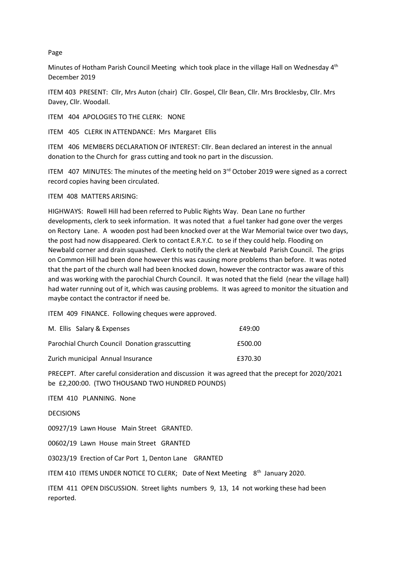Page

Minutes of Hotham Parish Council Meeting which took place in the village Hall on Wednesday 4<sup>th</sup> December 2019

ITEM 403 PRESENT: Cllr, Mrs Auton (chair) Cllr. Gospel, Cllr Bean, Cllr. Mrs Brocklesby, Cllr. Mrs Davey, Cllr. Woodall.

ITEM 404 APOLOGIES TO THE CLERK: NONE

ITEM 405 CLERK IN ATTENDANCE: Mrs Margaret Ellis

ITEM 406 MEMBERS DECLARATION OF INTEREST: Cllr. Bean declared an interest in the annual donation to the Church for grass cutting and took no part in the discussion.

ITEM 407 MINUTES: The minutes of the meeting held on  $3<sup>rd</sup>$  October 2019 were signed as a correct record copies having been circulated.

ITEM 408 MATTERS ARISING:

HIGHWAYS: Rowell Hill had been referred to Public Rights Way. Dean Lane no further developments, clerk to seek information. It was noted that a fuel tanker had gone over the verges on Rectory Lane. A wooden post had been knocked over at the War Memorial twice over two days, the post had now disappeared. Clerk to contact E.R.Y.C. to se if they could help. Flooding on Newbald corner and drain squashed. Clerk to notify the clerk at Newbald Parish Council. The grips on Common Hill had been done however this was causing more problems than before. It was noted that the part of the church wall had been knocked down, however the contractor was aware of this and was working with the parochial Church Council. It was noted that the field (near the village hall) had water running out of it, which was causing problems. It was agreed to monitor the situation and maybe contact the contractor if need be.

ITEM 409 FINANCE. Following cheques were approved.

| M. Ellis Salary & Expenses                     | f49:00  |
|------------------------------------------------|---------|
| Parochial Church Council Donation grasscutting | £500.00 |
| Zurich municipal Annual Insurance              | £370.30 |

PRECEPT. After careful consideration and discussion it was agreed that the precept for 2020/2021 be £2,200:00. (TWO THOUSAND TWO HUNDRED POUNDS)

ITEM 410 PLANNING. None

DECISIONS

00927/19 Lawn House Main Street GRANTED.

00602/19 Lawn House main Street GRANTED

03023/19 Erection of Car Port 1, Denton Lane GRANTED

ITEM 410 ITEMS UNDER NOTICE TO CLERK; Date of Next Meeting 8<sup>th</sup> January 2020.

ITEM 411 OPEN DISCUSSION. Street lights numbers 9, 13, 14 not working these had been reported.